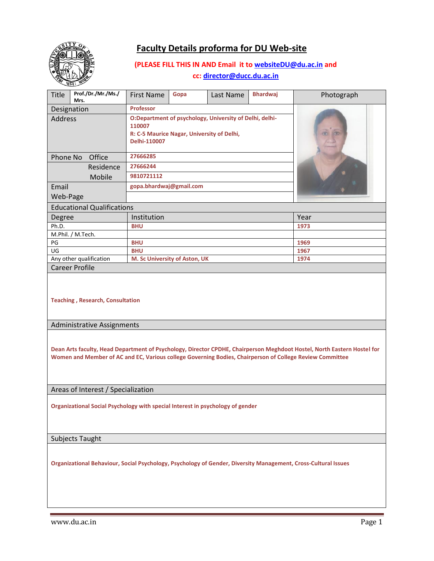

# **Faculty Details proforma for DU Web-site**

## **(PLEASE FILL THIS IN AND Email it to [websiteDU@du.ac.in](mailto:websiteDU@du.ac.in) and**

**cc[: director@ducc.du.ac.in](mailto:director@ducc.du.ac.in)**

| س<br>Prof./Dr./Mr./Ms./<br><b>Title</b>                                                                                                                                                                                             | <b>First Name</b>                                                                                                               | Gopa | Last Name | <b>Bhardwaj</b> | Photograph |
|-------------------------------------------------------------------------------------------------------------------------------------------------------------------------------------------------------------------------------------|---------------------------------------------------------------------------------------------------------------------------------|------|-----------|-----------------|------------|
| Mrs.                                                                                                                                                                                                                                |                                                                                                                                 |      |           |                 |            |
| Designation                                                                                                                                                                                                                         | Professor                                                                                                                       |      |           |                 |            |
| <b>Address</b>                                                                                                                                                                                                                      | O:Department of psychology, University of Delhi, delhi-<br>110007<br>R: C-5 Maurice Nagar, University of Delhi,<br>Delhi-110007 |      |           |                 |            |
| Office<br>Phone No                                                                                                                                                                                                                  | 27666285                                                                                                                        |      |           |                 |            |
| Residence                                                                                                                                                                                                                           | 27666244                                                                                                                        |      |           |                 |            |
| Mobile                                                                                                                                                                                                                              | 9810721112                                                                                                                      |      |           |                 |            |
|                                                                                                                                                                                                                                     | gopa.bhardwaj@gmail.com                                                                                                         |      |           |                 |            |
| Email                                                                                                                                                                                                                               |                                                                                                                                 |      |           |                 |            |
| Web-Page                                                                                                                                                                                                                            |                                                                                                                                 |      |           |                 |            |
| <b>Educational Qualifications</b>                                                                                                                                                                                                   |                                                                                                                                 |      |           |                 |            |
| Degree                                                                                                                                                                                                                              | Institution                                                                                                                     |      |           | Year            |            |
| Ph.D.                                                                                                                                                                                                                               | <b>BHU</b>                                                                                                                      |      |           |                 | 1973       |
| M.Phil. / M.Tech.                                                                                                                                                                                                                   |                                                                                                                                 |      |           |                 |            |
| PG<br>UG                                                                                                                                                                                                                            | <b>BHU</b><br><b>BHU</b>                                                                                                        |      |           | 1969<br>1967    |            |
| Any other qualification                                                                                                                                                                                                             | M. Sc University of Aston, UK                                                                                                   |      |           |                 | 1974       |
| <b>Career Profile</b>                                                                                                                                                                                                               |                                                                                                                                 |      |           |                 |            |
| <b>Teaching, Research, Consultation</b>                                                                                                                                                                                             |                                                                                                                                 |      |           |                 |            |
| <b>Administrative Assignments</b>                                                                                                                                                                                                   |                                                                                                                                 |      |           |                 |            |
| Dean Arts faculty, Head Department of Psychology, Director CPDHE, Chairperson Meghdoot Hostel, North Eastern Hostel for<br>Women and Member of AC and EC, Various college Governing Bodies, Chairperson of College Review Committee |                                                                                                                                 |      |           |                 |            |
| Areas of Interest / Specialization                                                                                                                                                                                                  |                                                                                                                                 |      |           |                 |            |
|                                                                                                                                                                                                                                     |                                                                                                                                 |      |           |                 |            |
| Organizational Social Psychology with special Interest in psychology of gender                                                                                                                                                      |                                                                                                                                 |      |           |                 |            |

Subjects Taught

**Organizational Behaviour, Social Psychology, Psychology of Gender, Diversity Management, Cross-Cultural Issues**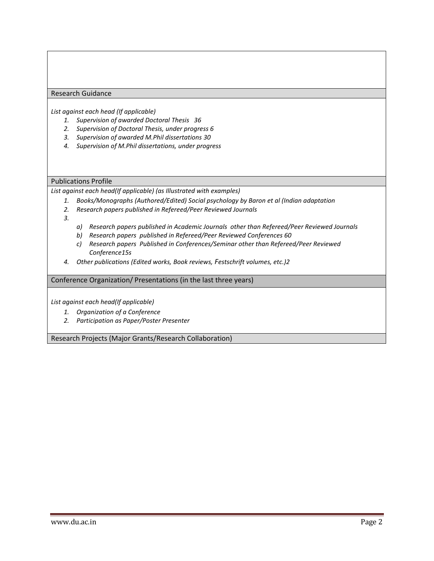#### Research Guidance

*List against each head (If applicable)*

- *1. Supervision of awarded Doctoral Thesis 36*
- *2. Supervision of Doctoral Thesis, under progress 6*
- *3. Supervision of awarded M.Phil dissertations 30*
- *4. Supervision of M.Phil dissertations, under progress*

#### Publications Profile

*List against each head(If applicable) (as Illustrated with examples)* 

- *1. Books/Monographs (Authored/Edited) Social psychology by Baron et al (Indian adaptation*
- *2. Research papers published in Refereed/Peer Reviewed Journals*
- *3.*
- *a) Research papers published in Academic Journals other than Refereed/Peer Reviewed Journals*
- *b) Research papers published in Refereed/Peer Reviewed Conferences 60*
- *c) Research papers Published in Conferences/Seminar other than Refereed/Peer Reviewed Conference15s*
- *4. Other publications (Edited works, Book reviews, Festschrift volumes, etc.)2*

#### Conference Organization/ Presentations (in the last three years)

*List against each head(If applicable)*

- *1. Organization of a Conference*
- *2. Participation as Paper/Poster Presenter*

Research Projects (Major Grants/Research Collaboration)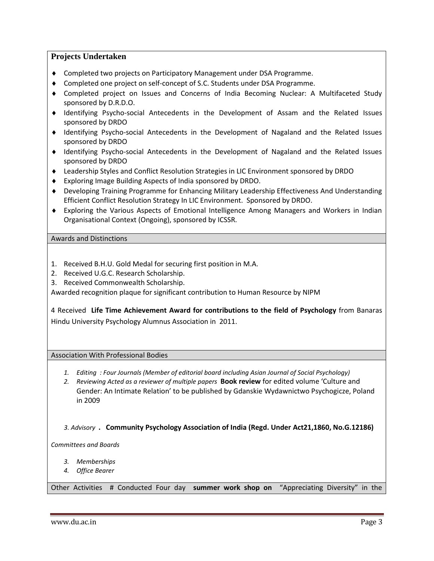### **Projects Undertaken**

- Completed two projects on Participatory Management under DSA Programme.
- Completed one project on self-concept of S.C. Students under DSA Programme.
- Completed project on Issues and Concerns of India Becoming Nuclear: A Multifaceted Study sponsored by D.R.D.O.
- Identifying Psycho-social Antecedents in the Development of Assam and the Related Issues sponsored by DRDO
- Identifying Psycho-social Antecedents in the Development of Nagaland and the Related Issues sponsored by DRDO
- Identifying Psycho-social Antecedents in the Development of Nagaland and the Related Issues sponsored by DRDO
- Leadership Styles and Conflict Resolution Strategies in LIC Environment sponsored by DRDO
- Exploring Image Building Aspects of India sponsored by DRDO.
- Developing Training Programme for Enhancing Military Leadership Effectiveness And Understanding Efficient Conflict Resolution Strategy In LIC Environment. Sponsored by DRDO.
- Exploring the Various Aspects of Emotional Intelligence Among Managers and Workers in Indian Organisational Context (Ongoing), sponsored by ICSSR.

Awards and Distinctions

- 1. Received B.H.U. Gold Medal for securing first position in M.A.
- 2. Received U.G.C. Research Scholarship.
- 3. Received Commonwealth Scholarship.

Awarded recognition plaque for significant contribution to Human Resource by NIPM

4 Received **Life Time Achievement Award for contributions to the field of Psychology** from Banaras Hindu University Psychology Alumnus Association in 2011.

Association With Professional Bodies

- *1. Editing : Four Journals (Member of editorial board including Asian Journal of Social Psychology)*
- *2. Reviewing Acted as a reviewer of multiple papers* **Book review** for edited volume 'Culture and Gender: An Intimate Relation' to be published by Gdanskie Wydawnictwo Psychogicze, Poland in 2009

 *3. Advisory* **. Community Psychology Association of India (Regd. Under Act21,1860, No.G.12186)**

*Committees and Boards*

- *3. Memberships*
- *4. Office Bearer*

Other Activities # Conducted Four day **summer work shop on** "Appreciating Diversity" in the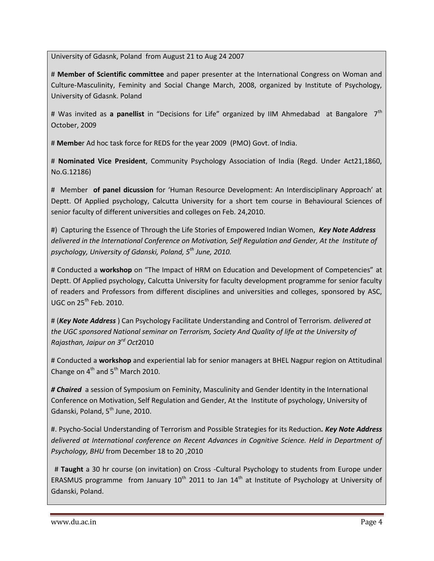University of Gdasnk, Poland from August 21 to Aug 24 2007

# **Member of Scientific committee** and paper presenter at the International Congress on Woman and Culture-Masculinity, Feminity and Social Change March, 2008, organized by Institute of Psychology, University of Gdasnk. Poland

# Was invited as **a panellist** in "Decisions for Life" organized by IIM Ahmedabad at Bangalore 7th October, 2009

# **Membe**r Ad hoc task force for REDS for the year 2009 (PMO) Govt. of India.

# **Nominated Vice President**, Community Psychology Association of India (Regd. Under Act21,1860, No.G.12186)

# Member **of panel dicussion** for 'Human Resource Development: An Interdisciplinary Approach' at Deptt. Of Applied psychology, Calcutta University for a short tem course in Behavioural Sciences of senior faculty of different universities and colleges on Feb. 24,2010.

#) Capturing the Essence of Through the Life Stories of Empowered Indian Women, *Key Note Address delivered in the International Conference on Motivation, Self Regulation and Gender, At the Institute of psychology, University of Gdanski, Poland, 5th June, 2010.*

# Conducted a **workshop** on "The Impact of HRM on Education and Development of Competencies" at Deptt. Of Applied psychology, Calcutta University for faculty development programme for senior faculty of readers and Professors from different disciplines and universities and colleges, sponsored by ASC, UGC on 25<sup>th</sup> Feb. 2010.

# (*Key Note Address* ) Can Psychology Facilitate Understanding and Control of Terrorism*. delivered at the UGC sponsored National seminar on Terrorism, Society And Quality of life at the University of Rajasthan, Jaipur on 3rd Oct*2010

# Conducted a **workshop** and experiential lab for senior managers at BHEL Nagpur region on Attitudinal Change on  $4^{th}$  and  $5^{th}$  March 2010.

*# Chaired* a session of Symposium on Feminity, Masculinity and Gender Identity in the International Conference on Motivation, Self Regulation and Gender, At the Institute of psychology, University of Gdanski, Poland,  $5^{th}$  June, 2010.

#. Psycho-Social Understanding of Terrorism and Possible Strategies for its Reduction*. Key Note Address delivered at International conference on Recent Advances in Cognitive Science. Held in Department of Psychology, BHU* from December 18 to 20 ,2010

 # **Taught** a 30 hr course (on invitation) on Cross -Cultural Psychology to students from Europe under ERASMUS programme from January  $10^{th}$  2011 to Jan  $14^{th}$  at Institute of Psychology at University of Gdanski, Poland.